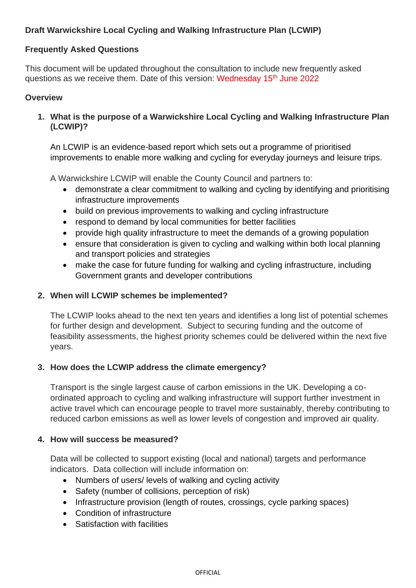# **Draft Warwickshire Local Cycling and Walking Infrastructure Plan (LCWIP)**

## **Frequently Asked Questions**

This document will be updated throughout the consultation to include new frequently asked questions as we receive them. Date of this version: Wednesday 15<sup>th</sup> June 2022

#### **Overview**

**1. What is the purpose of a Warwickshire Local Cycling and Walking Infrastructure Plan (LCWIP)?**

An LCWIP is an evidence-based report which sets out a programme of prioritised improvements to enable more walking and cycling for everyday journeys and leisure trips.

A Warwickshire LCWIP will enable the County Council and partners to:

- demonstrate a clear commitment to walking and cycling by identifying and prioritising infrastructure improvements
- build on previous improvements to walking and cycling infrastructure
- respond to demand by local communities for better facilities
- provide high quality infrastructure to meet the demands of a growing population
- ensure that consideration is given to cycling and walking within both local planning and transport policies and strategies
- make the case for future funding for walking and cycling infrastructure, including Government grants and developer contributions

## **2. When will LCWIP schemes be implemented?**

The LCWIP looks ahead to the next ten years and identifies a long list of potential schemes for further design and development. Subject to securing funding and the outcome of feasibility assessments, the highest priority schemes could be delivered within the next five years.

## **3. How does the LCWIP address the climate emergency?**

Transport is the single largest cause of carbon emissions in the UK. Developing a coordinated approach to cycling and walking infrastructure will support further investment in active travel which can encourage people to travel more sustainably, thereby contributing to reduced carbon emissions as well as lower levels of congestion and improved air quality.

## **4. How will success be measured?**

Data will be collected to support existing (local and national) targets and performance indicators. Data collection will include information on:

- Numbers of users/ levels of walking and cycling activity
- Safety (number of collisions, perception of risk)
- Infrastructure provision (length of routes, crossings, cycle parking spaces)
- Condition of infrastructure
- Satisfaction with facilities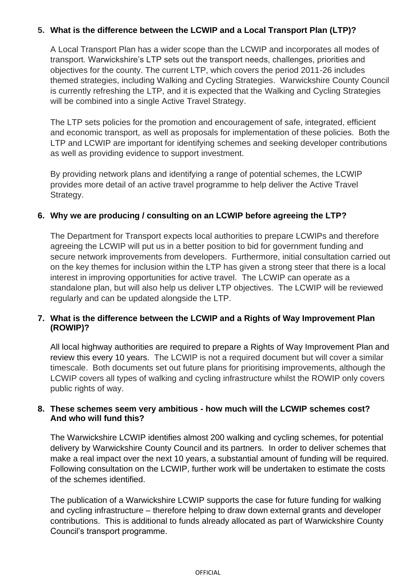## **5. What is the difference between the LCWIP and a Local Transport Plan (LTP)?**

A Local Transport Plan has a wider scope than the LCWIP and incorporates all modes of transport. Warwickshire's LTP sets out the transport needs, challenges, priorities and objectives for the county. The current LTP, which covers the period 2011-26 includes themed strategies, including Walking and Cycling Strategies. Warwickshire County Council is currently refreshing the LTP, and it is expected that the Walking and Cycling Strategies will be combined into a single Active Travel Strategy.

The LTP sets policies for the promotion and encouragement of safe, integrated, efficient and economic transport, as well as proposals for implementation of these policies. Both the LTP and LCWIP are important for identifying schemes and seeking developer contributions as well as providing evidence to support investment.

By providing network plans and identifying a range of potential schemes, the LCWIP provides more detail of an active travel programme to help deliver the Active Travel Strategy.

## **6. Why we are producing / consulting on an LCWIP before agreeing the LTP?**

The Department for Transport expects local authorities to prepare LCWIPs and therefore agreeing the LCWIP will put us in a better position to bid for government funding and secure network improvements from developers. Furthermore, initial consultation carried out on the key themes for inclusion within the LTP has given a strong steer that there is a local interest in improving opportunities for active travel. The LCWIP can operate as a standalone plan, but will also help us deliver LTP objectives. The LCWIP will be reviewed regularly and can be updated alongside the LTP.

## **7. What is the difference between the LCWIP and a Rights of Way Improvement Plan (ROWIP)?**

All local highway authorities are required to prepare a Rights of Way Improvement Plan and review this every 10 years. The LCWIP is not a required document but will cover a similar timescale. Both documents set out future plans for prioritising improvements, although the LCWIP covers all types of walking and cycling infrastructure whilst the ROWIP only covers public rights of way.

## **8. These schemes seem very ambitious - how much will the LCWIP schemes cost? And who will fund this?**

The Warwickshire LCWIP identifies almost 200 walking and cycling schemes, for potential delivery by Warwickshire County Council and its partners. In order to deliver schemes that make a real impact over the next 10 years, a substantial amount of funding will be required. Following consultation on the LCWIP, further work will be undertaken to estimate the costs of the schemes identified.

The publication of a Warwickshire LCWIP supports the case for future funding for walking and cycling infrastructure – therefore helping to draw down external grants and developer contributions. This is additional to funds already allocated as part of Warwickshire County Council's transport programme.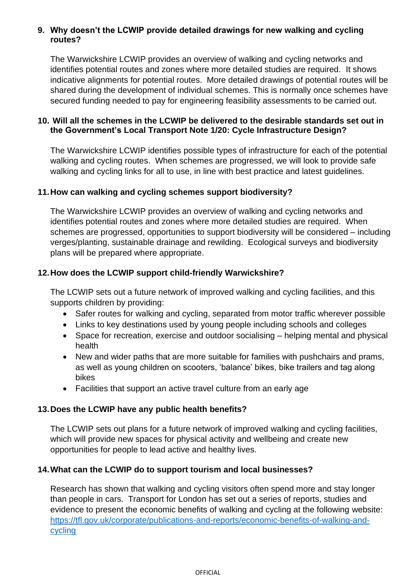## **9. Why doesn't the LCWIP provide detailed drawings for new walking and cycling routes?**

The Warwickshire LCWIP provides an overview of walking and cycling networks and identifies potential routes and zones where more detailed studies are required. It shows indicative alignments for potential routes. More detailed drawings of potential routes will be shared during the development of individual schemes. This is normally once schemes have secured funding needed to pay for engineering feasibility assessments to be carried out.

## **10. Will all the schemes in the LCWIP be delivered to the desirable standards set out in the Government's Local Transport Note 1/20: Cycle Infrastructure Design?**

The Warwickshire LCWIP identifies possible types of infrastructure for each of the potential walking and cycling routes. When schemes are progressed, we will look to provide safe walking and cycling links for all to use, in line with best practice and latest guidelines.

## **11.How can walking and cycling schemes support biodiversity?**

The Warwickshire LCWIP provides an overview of walking and cycling networks and identifies potential routes and zones where more detailed studies are required. When schemes are progressed, opportunities to support biodiversity will be considered – including verges/planting, sustainable drainage and rewilding. Ecological surveys and biodiversity plans will be prepared where appropriate.

## **12.How does the LCWIP support child-friendly Warwickshire?**

The LCWIP sets out a future network of improved walking and cycling facilities, and this supports children by providing:

- Safer routes for walking and cycling, separated from motor traffic wherever possible
- Links to key destinations used by young people including schools and colleges
- Space for recreation, exercise and outdoor socialising helping mental and physical health
- New and wider paths that are more suitable for families with pushchairs and prams, as well as young children on scooters, 'balance' bikes, bike trailers and tag along bikes
- Facilities that support an active travel culture from an early age

## **13.Does the LCWIP have any public health benefits?**

The LCWIP sets out plans for a future network of improved walking and cycling facilities, which will provide new spaces for physical activity and wellbeing and create new opportunities for people to lead active and healthy lives.

## **14.What can the LCWIP do to support tourism and local businesses?**

Research has shown that walking and cycling visitors often spend more and stay longer than people in cars. Transport for London has set out a series of reports, studies and evidence to present the economic benefits of walking and cycling at the following website: [https://tfl.gov.uk/corporate/publications-and-reports/economic-benefits-of-walking-and](https://tfl.gov.uk/corporate/publications-and-reports/economic-benefits-of-walking-and-cycling)[cycling](https://tfl.gov.uk/corporate/publications-and-reports/economic-benefits-of-walking-and-cycling)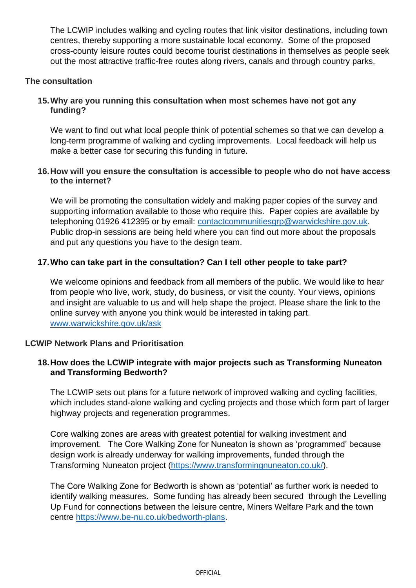The LCWIP includes walking and cycling routes that link visitor destinations, including town centres, thereby supporting a more sustainable local economy. Some of the proposed cross-county leisure routes could become tourist destinations in themselves as people seek out the most attractive traffic-free routes along rivers, canals and through country parks.

## **The consultation**

## **15.Why are you running this consultation when most schemes have not got any funding?**

We want to find out what local people think of potential schemes so that we can develop a long-term programme of walking and cycling improvements. Local feedback will help us make a better case for securing this funding in future.

## **16.How will you ensure the consultation is accessible to people who do not have access to the internet?**

We will be promoting the consultation widely and making paper copies of the survey and supporting information available to those who require this. Paper copies are available by telephoning 01926 412395 or by email: [contactcommunitiesgrp@warwickshire.gov.uk.](mailto:contactcommunitiesgrp@warwickshire.gov.uk) Public drop-in sessions are being held where you can find out more about the proposals and put any questions you have to the design team.

## **17.Who can take part in the consultation? Can I tell other people to take part?**

We welcome opinions and feedback from all members of the public. We would like to hear from people who live, work, study, do business, or visit the county. Your views, opinions and insight are valuable to us and will help shape the project. Please share the link to the online survey with anyone you think would be interested in taking part. [www.warwickshire.gov.uk/ask](http://www.warwickshire.gov.uk/ask)

## **LCWIP Network Plans and Prioritisation**

## **18.How does the LCWIP integrate with major projects such as Transforming Nuneaton and Transforming Bedworth?**

The LCWIP sets out plans for a future network of improved walking and cycling facilities, which includes stand-alone walking and cycling projects and those which form part of larger highway projects and regeneration programmes.

Core walking zones are areas with greatest potential for walking investment and improvement. The Core Walking Zone for Nuneaton is shown as 'programmed' because design work is already underway for walking improvements, funded through the Transforming Nuneaton project [\(https://www.transformingnuneaton.co.uk/\)](https://www.transformingnuneaton.co.uk/).

The Core Walking Zone for Bedworth is shown as 'potential' as further work is needed to identify walking measures. Some funding has already been secured through the Levelling Up Fund for connections between the leisure centre, Miners Welfare Park and the town centre [https://www.be-nu.co.uk/bedworth-plans.](https://www.be-nu.co.uk/bedworth-plans)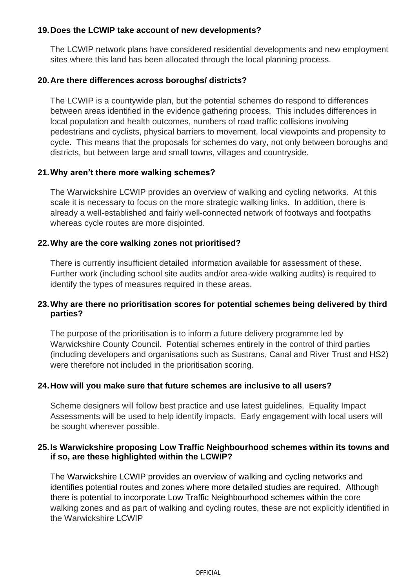## **19.Does the LCWIP take account of new developments?**

The LCWIP network plans have considered residential developments and new employment sites where this land has been allocated through the local planning process.

## **20.Are there differences across boroughs/ districts?**

The LCWIP is a countywide plan, but the potential schemes do respond to differences between areas identified in the evidence gathering process. This includes differences in local population and health outcomes, numbers of road traffic collisions involving pedestrians and cyclists, physical barriers to movement, local viewpoints and propensity to cycle. This means that the proposals for schemes do vary, not only between boroughs and districts, but between large and small towns, villages and countryside.

## **21.Why aren't there more walking schemes?**

The Warwickshire LCWIP provides an overview of walking and cycling networks. At this scale it is necessary to focus on the more strategic walking links. In addition, there is already a well-established and fairly well-connected network of footways and footpaths whereas cycle routes are more disjointed.

## **22.Why are the core walking zones not prioritised?**

There is currently insufficient detailed information available for assessment of these. Further work (including school site audits and/or area-wide walking audits) is required to identify the types of measures required in these areas.

## **23.Why are there no prioritisation scores for potential schemes being delivered by third parties?**

The purpose of the prioritisation is to inform a future delivery programme led by Warwickshire County Council. Potential schemes entirely in the control of third parties (including developers and organisations such as Sustrans, Canal and River Trust and HS2) were therefore not included in the prioritisation scoring.

## **24.How will you make sure that future schemes are inclusive to all users?**

Scheme designers will follow best practice and use latest guidelines. Equality Impact Assessments will be used to help identify impacts. Early engagement with local users will be sought wherever possible.

## **25.Is Warwickshire proposing Low Traffic Neighbourhood schemes within its towns and if so, are these highlighted within the LCWIP?**

The Warwickshire LCWIP provides an overview of walking and cycling networks and identifies potential routes and zones where more detailed studies are required. Although there is potential to incorporate Low Traffic Neighbourhood schemes within the core walking zones and as part of walking and cycling routes, these are not explicitly identified in the Warwickshire LCWIP